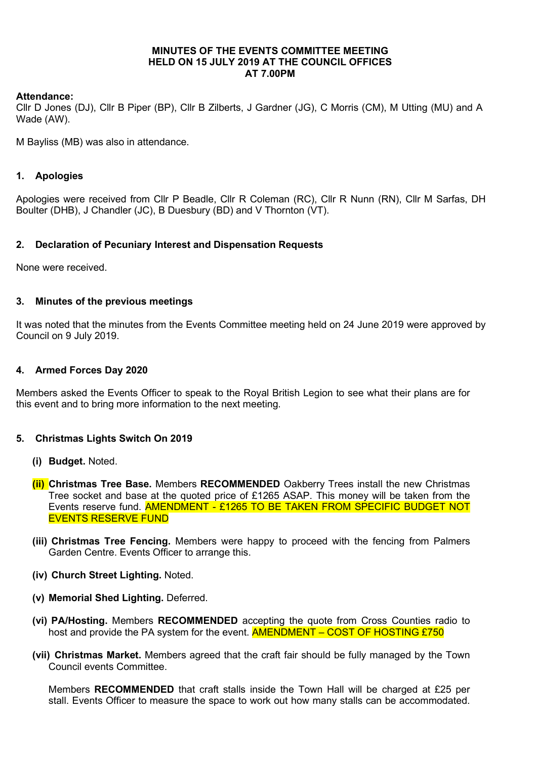#### MINUTES OF THE EVENTS COMMITTEE MEETING HELD ON 15 JULY 2019 AT THE COUNCIL OFFICES AT 7.00PM

### Attendance:

Cllr D Jones (DJ), Cllr B Piper (BP), Cllr B Zilberts, J Gardner (JG), C Morris (CM), M Utting (MU) and A Wade (AW).

M Bayliss (MB) was also in attendance.

## 1. Apologies

Apologies were received from Cllr P Beadle, Cllr R Coleman (RC), Cllr R Nunn (RN), Cllr M Sarfas, DH Boulter (DHB), J Chandler (JC), B Duesbury (BD) and V Thornton (VT).

### 2. Declaration of Pecuniary Interest and Dispensation Requests

None were received.

### 3. Minutes of the previous meetings

It was noted that the minutes from the Events Committee meeting held on 24 June 2019 were approved by Council on 9 July 2019.

### 4. Armed Forces Day 2020

Members asked the Events Officer to speak to the Royal British Legion to see what their plans are for this event and to bring more information to the next meeting.

#### 5. Christmas Lights Switch On 2019

- (i) Budget. Noted.
- **(ii)** Christmas Tree Base. Members RECOMMENDED Oakberry Trees install the new Christmas Tree socket and base at the quoted price of £1265 ASAP. This money will be taken from the Events reserve fund. **AMENDMENT - £1265 TO BE TAKEN FROM SPECIFIC BUDGET NOT** EVENTS RESERVE FUND
- (iii) Christmas Tree Fencing. Members were happy to proceed with the fencing from Palmers Garden Centre. Events Officer to arrange this.
- (iv) Church Street Lighting. Noted.
- (v) Memorial Shed Lighting. Deferred.
- (vi) PA/Hosting. Members RECOMMENDED accepting the quote from Cross Counties radio to host and provide the PA system for the event. **AMENDMENT – COST OF HOSTING £750**
- (vii) Christmas Market. Members agreed that the craft fair should be fully managed by the Town Council events Committee.

Members RECOMMENDED that craft stalls inside the Town Hall will be charged at £25 per stall. Events Officer to measure the space to work out how many stalls can be accommodated.